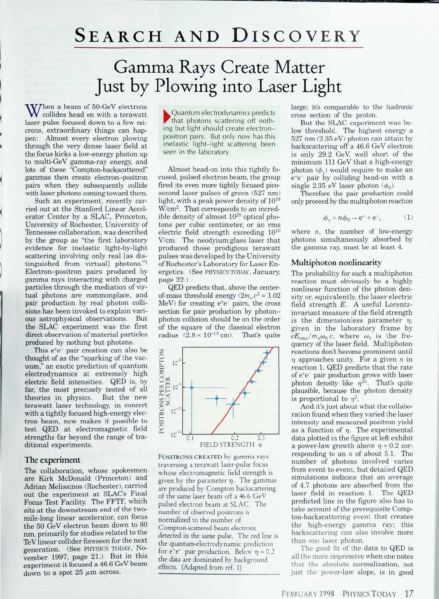## SEARCH AND DISCOVERY

# Gamma Rays Create Matter Just by Plowing into Laser Light

When a beam of 50-GeV electrons<br>collides head on with a terawatt laser pulse focused down to a few microns, extraordinary things can happen: Almost every electron plowing through the very dense laser field at the focus kicks a low-energy photon up to multi-GeV gamma-ray energy, and lots of these "Compton-backscattered" gammas then create electron-positron pairs when they subsequently collide with laser photons coming toward them.

Such an experiment, recently carried out at the Stanford Linear Accelerator Center by a SLAC, Princeton, University of Rochester. University of Tennessee collaboration, was described by the group as "the first laboratory evidence for inelastic light-by-light scattering **involving** only real [as distinguished from virtual] photons."<sup>1</sup> Electron-positron pairs produced by gamma rays interacting with charged particles through the mediation of virtual photons are commonplace, and pair production by real photon collisions has been invoked to explain various astrophysical observations. But the SLAC experiment was the first direct observation of material particles produced by nothing but photons.

This e<sup>+</sup>e<sup>-</sup> pair creation can also be thought of as the "sparking of the vacuum," an exotic prediction of quantum electrodynamics at extremely high electric field intensities. QED is, by far, the most precisely tested of all<br>theories in physics. But the new theories in physics. terawatt laser technology, in concert with a tightly focused high-energy electron beam, now makes it possible to test QED at electromagnetic field strengths far beyond the range of traditional experiments.

### The experiment

The collaboration, whose spokesmen are Kirk McDonald (Princeton) and Adrian Melissinos (Rochester), earned **out** the experiment at SLAC's Final Focus Test Facility. The FFTF, which sits at the downstream end of the twomile-long linear accelerator, can focus the 50 GeV electron beam down to 60 nm, primarily for studies related to the TeV linear collider foreseen for the next generation. (See PHYSICS TODAY, November 1997, page 21.) But in this experiment it focused a 46.6 GeV beam down to a spot  $25 \mu m$  across.

• Quantum electrodynamics predicts that photons scattering off nothing but light should create electronpositron pairs. But only now has this inelastic light-light scattering been seen in the laboratory.

Almost head-on into this tightly focused, pulsed electron beam, the group fired its even more tightly focused picosecond laser pulses of green (527 nm) light, with a peak power density of 10<sup>18</sup> W/cm<sup>2</sup> . That corresponds to an incredible density of almost  $10^{28}$  optical photons per cubic centimeter, or an rms electric field strength exceeding 10<sup>10</sup> V/cm. The neodyium:glass laser that produced those prodigious terawatt pulses was developed by the University of Rochester's Laboratory for Laser Energetics. (See PHYSICS TODAY, January, page 22.)

QED predicts that, above the centerof-mass threshold energy  $(2m_e c^2 = 1.02)$ MeV) for creating e<sup>+</sup>e<sup>-</sup> pairs, the cross section for pair production by photonphoton collision should be on the order of the square of the classical electron radius  $(2.8 \times 10^{-13} \text{ cm})$ . That's quite



POSITRONS CREATED by gamma rays traversing a terawatt laser-pulse focus whose electromagnetic field strength is given by the parameter  $\eta$ . The gammas are produced by Compton backscattering of the same laser beam off a 46.6 GeV pulsed electron beam at SLAC. The number of observed positrons is normalized to the number of Compton-scattered beam electrons detected in the same pulse. The red line is the quantum-electrodynamic prediction for  $e^+e^-$  pair production. Below  $n = 0.2$ the data are dominated by background effects. (Adapted from ref. 1)

large; it's comparable to the hadronic cross section of the proton.

But the SLAC experiment was below threshold. The highest energy a 527 nm (2.35 eV) photon can attain by backscattering off a 46.6 GeV electron is only 29.2 GeV, well short of the minimum 111 GeV that a high-energy photon  $(\phi_{\gamma})$  would require to make an ete<sup>-</sup> pair by colliding head-on with a single 2.35 eV laser photon  $(\phi_0)$ .

Therefore the pair production could only proceed by the multiphoton reaction

$$
\phi_{\gamma} + n\phi_0 \to e^+ + e^-, \tag{1}
$$

where  $n$ , the number of low-energy photons simultaneously absorbed by the gamma ray, must be at least 4.

#### Multiphoton nonlinearity

The probability for such a multiphoton reaction must obviously be a highly nonlinear function of the photon density or, equivalently, the laser electric field strength *E.* A useful Lorentzinvariant measure of the field strength is the dimensionless parameter  $\eta$ , given in the laboratory frame by  $eE_{\rm rms}/m_e\omega_0 c$ , where  $\omega_0$  is the frequency of the laser field. Multiphoton reactions don't become prominent until  $\eta$  approaches unity. For a given  $n$  in reaction 1, QED predicts that the rate of e<sup>+</sup> e~ pair production grows with laser photon density like  $\eta^{2n}$ . That's quite plausible, because the photon density is proportional to  $\eta^2$ .

And it's just about what the collaboration found when they varied the laser intensity and measured positron yield as a function of  $\eta$ . The experimental data plotted in the figure at left exhibit a power-law growth above  $\eta \approx 0.2$  corresponding to an *n* of about 5.1. The number of photons involved varies from event to event, but detailed QED simulations indicate that an average of 4.7 photons are absorbed from the laser field in reaction 1. The QED predicted line in the figure also has to take account of the prerequisite Compton-backscattering event that creates the high-energy gamma ray; this backscattering can also involve more than one laser photon.

The good fit of the data to QED is all the more impressive when one notes that the absolute normalization, not just the power-law slope, is in good